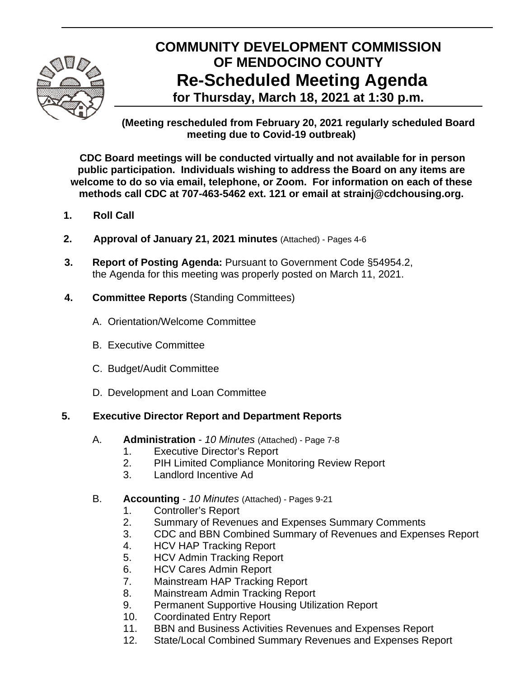

# **COMMUNITY DEVELOPMENT COMMISSION OF MENDOCINO COUNTY Re-Scheduled Meeting Agenda for Thursday, March 18, 2021 at 1:30 p.m.**

**(Meeting rescheduled from February 20, 2021 regularly scheduled Board meeting due to Covid-19 outbreak)** 

**CDC Board meetings will be conducted virtually and not available for in person public participation. Individuals wishing to address the Board on any items are welcome to do so via email, telephone, or Zoom. For information on each of these methods call CDC at 707-463-5462 ext. 121 or email at strainj@cdchousing.org.** 

- **1. Roll Call**
- **2. Approval of January 21, 2021 minutes** (Attached) Pages 4-6
- **3. Report of Posting Agenda:** Pursuant to Government Code §54954.2, the Agenda for this meeting was properly posted on March 11, 2021.
- **4. Committee Reports** (Standing Committees)
	- A.Orientation/Welcome Committee
	- B. Executive Committee
	- C. Budget/Audit Committee
	- D. Development and Loan Committee

## **5. Executive Director Report and Department Reports**

- A. **Administration** *10 Minutes* (Attached) Page 7-8
	- 1. Executive Director's Report
	- 2. PIH Limited Compliance Monitoring Review Report
	- 3. Landlord Incentive Ad
- B. **Accounting** *10 Minutes* (Attached) Pages 9-21
	- 1. Controller's Report
	- 2. Summary of Revenues and Expenses Summary Comments
	- 3. CDC and BBN Combined Summary of Revenues and Expenses Report
	- 4. HCV HAP Tracking Report
	- 5. HCV Admin Tracking Report
	- 6. HCV Cares Admin Report
	- 7. Mainstream HAP Tracking Report
	- 8. Mainstream Admin Tracking Report
	- 9. Permanent Supportive Housing Utilization Report
	- 10. Coordinated Entry Report
	- 11. BBN and Business Activities Revenues and Expenses Report
	- 12. State/Local Combined Summary Revenues and Expenses Report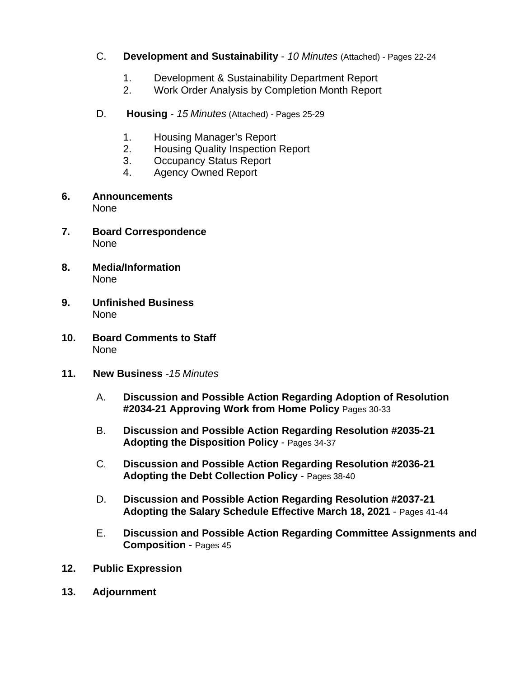- C. **Development and Sustainability** *10 Minutes* (Attached) Pages 22-24
	- 1. Development & Sustainability Department Report
	- 2. Work Order Analysis by Completion Month Report
- D. **Housing** *15 Minutes* (Attached) *-* Pages 25-29
	- 1. Housing Manager's Report
	- 2. Housing Quality Inspection Report
	- 3. Occupancy Status Report
	- 4. Agency Owned Report
- **6. Announcements**  None
- **7. Board Correspondence**  None
- **8. Media/Information**  None
- **9. Unfinished Business**  None
- **10. Board Comments to Staff**  None
- **11. New Business** *-15 Minutes* 
	- A. **Discussion and Possible Action Regarding Adoption of Resolution #2034-21 Approving Work from Home Policy** Pages 30-33
	- B. **Discussion and Possible Action Regarding Resolution #2035-21 Adopting the Disposition Policy** - Pages 34-37
	- C. **Discussion and Possible Action Regarding Resolution #2036-21 Adopting the Debt Collection Policy** - Pages 38-40
	- D. **Discussion and Possible Action Regarding Resolution #2037-21 Adopting the Salary Schedule Effective March 18, 2021** - Pages 41-44
	- E. **Discussion and Possible Action Regarding Committee Assignments and Composition** - Pages 45
- **12. Public Expression**
- **13. Adjournment**